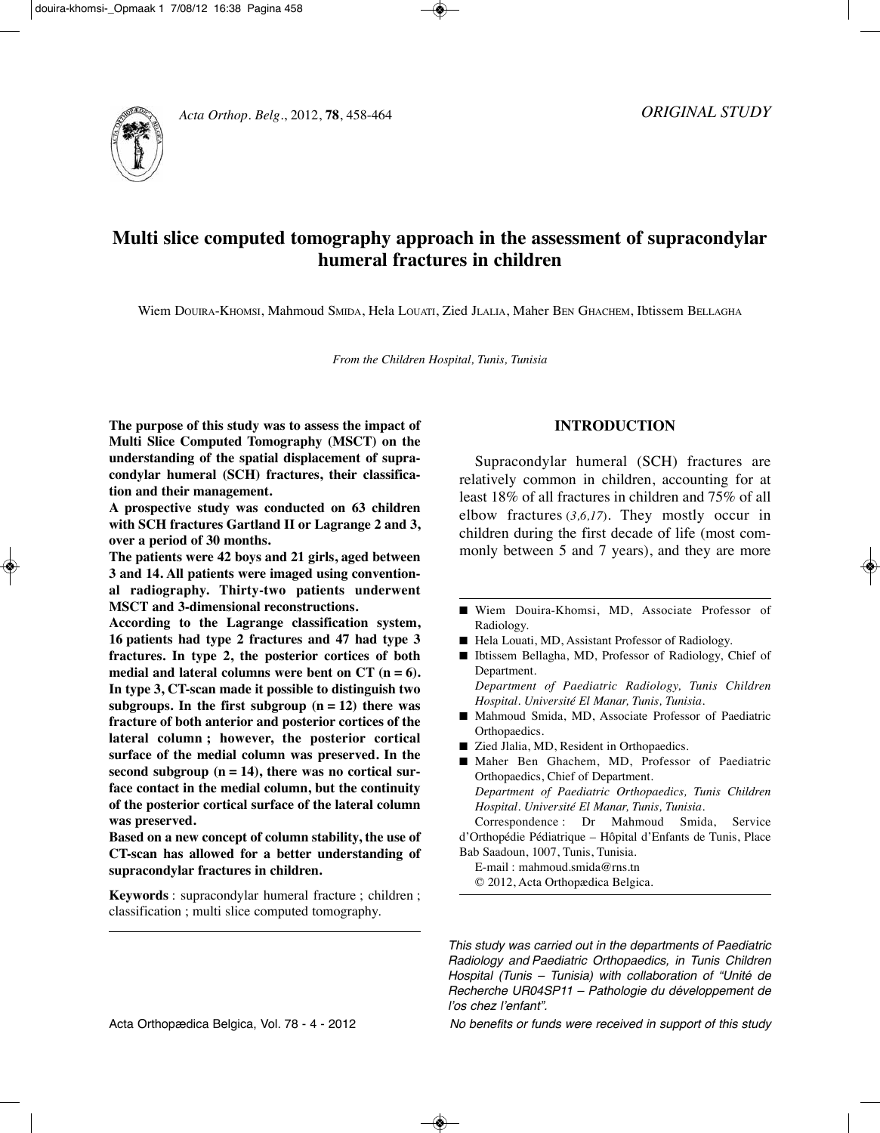



# **Multi slice computed tomography approach in the assessment of supracondylar humeral fractures in children**

Wiem DOuIRA-KHOMSI, Mahmoud SMIDA, Hela LOuATI, Zied JLALIA, Maher BEn GHACHEM, Ibtissem BELLAGHA

*From the Children Hospital, Tunis, Tunisia*

**The purpose of this study was to assess the impact of Multi Slice Computed Tomography (MSCT) on the understanding of the spatial displacement of supracondylar humeral (SCH) fractures, their classification and their management.**

**A prospective study was conducted on 63 children with SCH fractures Gartland II or Lagrange 2 and 3, over a period of 30 months.**

**The patients were 42 boys and 21 girls, aged between 3 and 14. All patients were imaged using conventional radiography. Thirty-two patients underwent MSCT and 3-dimensional reconstructions.**

**According to the Lagrange classification system, 16 patients had type 2 fractures and 47 had type 3 fractures. In type 2, the posterior cortices of both medial and lateral columns were bent on CT (n = 6). In type 3, CT-scan made it possible to distinguish two subgroups.** In the first **subgroup**  $(n = 12)$  there was **fracture of both anterior and posterior cortices of the lateral column ; however, the posterior cortical surface of the medial column was preserved. In the second subgroup (n = 14), there was no cortical surface contact in the medial column, but the continuity of the posterior cortical surface of the lateral column was preserved.**

**Based on a new concept of column stability, the use of CT-scan has allowed for a better understanding of supracondylar fractures in children.**

**Keywords** : supracondylar humeral fracture ; children ; classification ; multi slice computed tomography.

# **INTRODUCTION**

Supracondylar humeral (SCH) fractures are relatively common in children, accounting for at least 18% of all fractures in children and 75% of all elbow fractures (*3,6,17*). They mostly occur in children during the first decade of life (most commonly between 5 and 7 years), and they are more

- Wiem Douira-Khomsi, MD, Associate Professor of Radiology.
- Hela Louati, MD, Assistant Professor of Radiology.
- Ibtissem Bellagha, MD, Professor of Radiology, Chief of Department.

*Department of Paediatric Radiology, Tunis Children Hospital. Université El Manar, Tunis, Tunisia.*

- Mahmoud Smida, MD, Associate Professor of Paediatric Orthopaedics.
- Zied Jlalia, MD, Resident in Orthopaedics.
- Maher Ben Ghachem, MD, Professor of Paediatric Orthopaedics, Chief of Department. *Department of Paediatric Orthopaedics, Tunis Children Hospital. Université El Manar, Tunis, Tunisia.*

Correspondence : Dr Mahmoud Smida, Service d'Orthopédie Pédiatrique – Hôpital d'Enfants de Tunis, Place Bab Saadoun, 1007, Tunis, Tunisia.

E-mail : mahmoud.smida@rns.tn © 2012, Acta Orthopædica Belgica.

This study was carried out in the departments of Paediatric Radiology and Paediatric Orthopaedics, in Tunis Children Hospital (Tunis – Tunisia) with collaboration of "Unité de Recherche UR04SP11 – Pathologie du développement de l'os chez l'enfant".

Acta Orthopædica Belgica, Vol. 78 - 4 - 2012 No benefits or funds were received in support of this study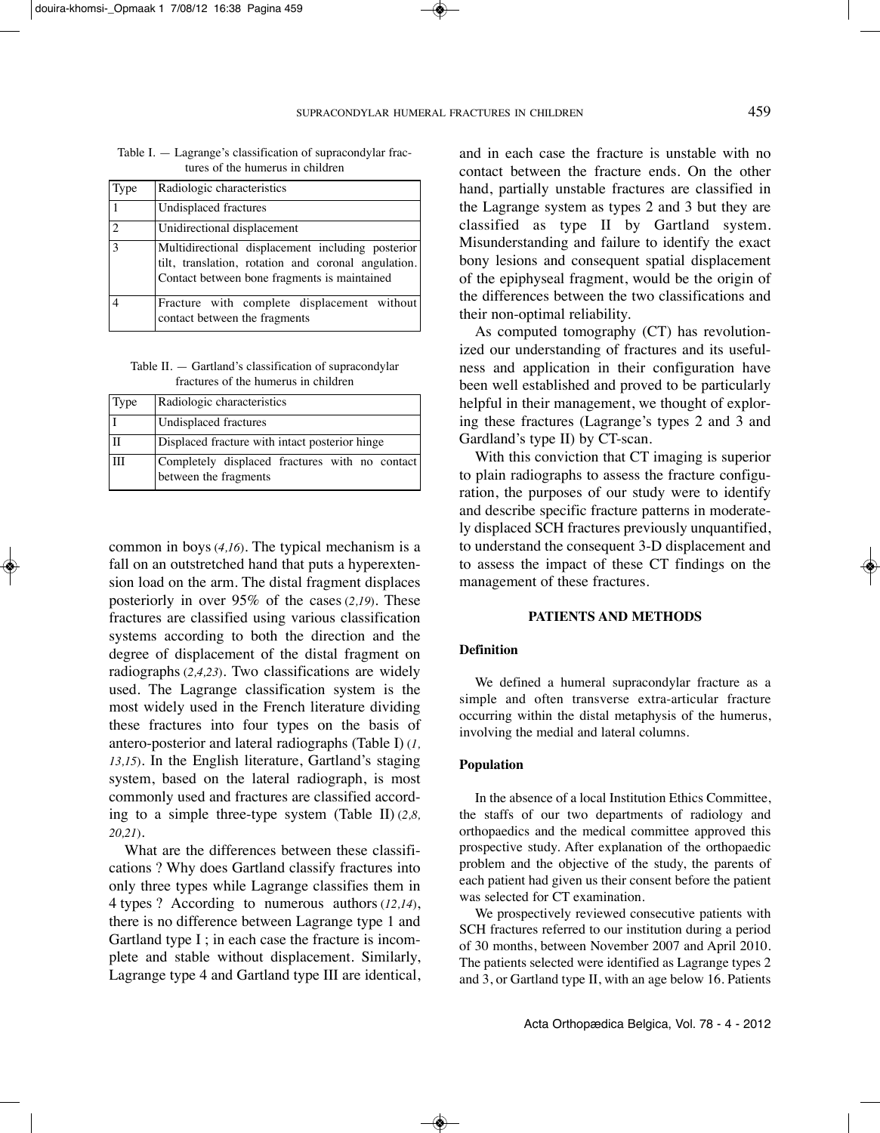| Type           | Radiologic characteristics                                                                                                                               |
|----------------|----------------------------------------------------------------------------------------------------------------------------------------------------------|
|                | Undisplaced fractures                                                                                                                                    |
| $\mathfrak{D}$ | Unidirectional displacement                                                                                                                              |
| 3              | Multidirectional displacement including posterior<br>tilt, translation, rotation and coronal angulation.<br>Contact between bone fragments is maintained |
|                | Fracture with complete displacement without<br>contact between the fragments                                                                             |

Table I. — Lagrange's classification of supracondylar fractures of the humerus in children

Table II. — Gartland's classification of supracondylar fractures of the humerus in children

| Type        | Radiologic characteristics                                              |
|-------------|-------------------------------------------------------------------------|
|             | Undisplaced fractures                                                   |
| $_{\rm II}$ | Displaced fracture with intact posterior hinge                          |
| III         | Completely displaced fractures with no contact<br>between the fragments |

common in boys (*4,16*). The typical mechanism is a fall on an outstretched hand that puts a hyperextension load on the arm. The distal fragment displaces posteriorly in over 95% of the cases (*2,19*). These fractures are classified using various classification systems according to both the direction and the degree of displacement of the distal fragment on radiographs (*2,4,23*). Two classifications are widely used. The Lagrange classification system is the most widely used in the French literature dividing these fractures into four types on the basis of antero-posterior and lateral radiographs (Table I) (*1, 13,15*). In the English literature, Gartland's staging system, based on the lateral radiograph, is most commonly used and fractures are classified according to a simple three-type system (Table II) (*2,8, 20,21*).

What are the differences between these classifications ? Why does Gartland classify fractures into only three types while Lagrange classifies them in 4 types ? According to numerous authors (*12,14*), there is no difference between Lagrange type 1 and Gartland type I ; in each case the fracture is incomplete and stable without displacement. Similarly, Lagrange type 4 and Gartland type III are identical, and in each case the fracture is unstable with no contact between the fracture ends. On the other hand, partially unstable fractures are classified in the Lagrange system as types 2 and 3 but they are classified as type II by Gartland system. Misunderstanding and failure to identify the exact bony lesions and consequent spatial displacement of the epiphyseal fragment, would be the origin of the differences between the two classifications and their non-optimal reliability.

As computed tomography (CT) has revolutionized our understanding of fractures and its usefulness and application in their configuration have been well established and proved to be particularly helpful in their management, we thought of exploring these fractures (Lagrange's types 2 and 3 and Gardland's type II) by CT-scan.

With this conviction that CT imaging is superior to plain radiographs to assess the fracture configuration, the purposes of our study were to identify and describe specific fracture patterns in moderately displaced SCH fractures previously unquantified, to understand the consequent 3-D displacement and to assess the impact of these CT findings on the management of these fractures.

#### **PATIENTS AND METHODS**

# **Definition**

We defined a humeral supracondylar fracture as a simple and often transverse extra-articular fracture occurring within the distal metaphysis of the humerus, involving the medial and lateral columns.

#### **Population**

In the absence of a local Institution Ethics Committee, the staffs of our two departments of radiology and orthopaedics and the medical committee approved this prospective study. After explanation of the orthopaedic problem and the objective of the study, the parents of each patient had given us their consent before the patient was selected for CT examination.

We prospectively reviewed consecutive patients with SCH fractures referred to our institution during a period of 30 months, between november 2007 and April 2010. The patients selected were identified as Lagrange types 2 and 3, or Gartland type II, with an age below 16. Patients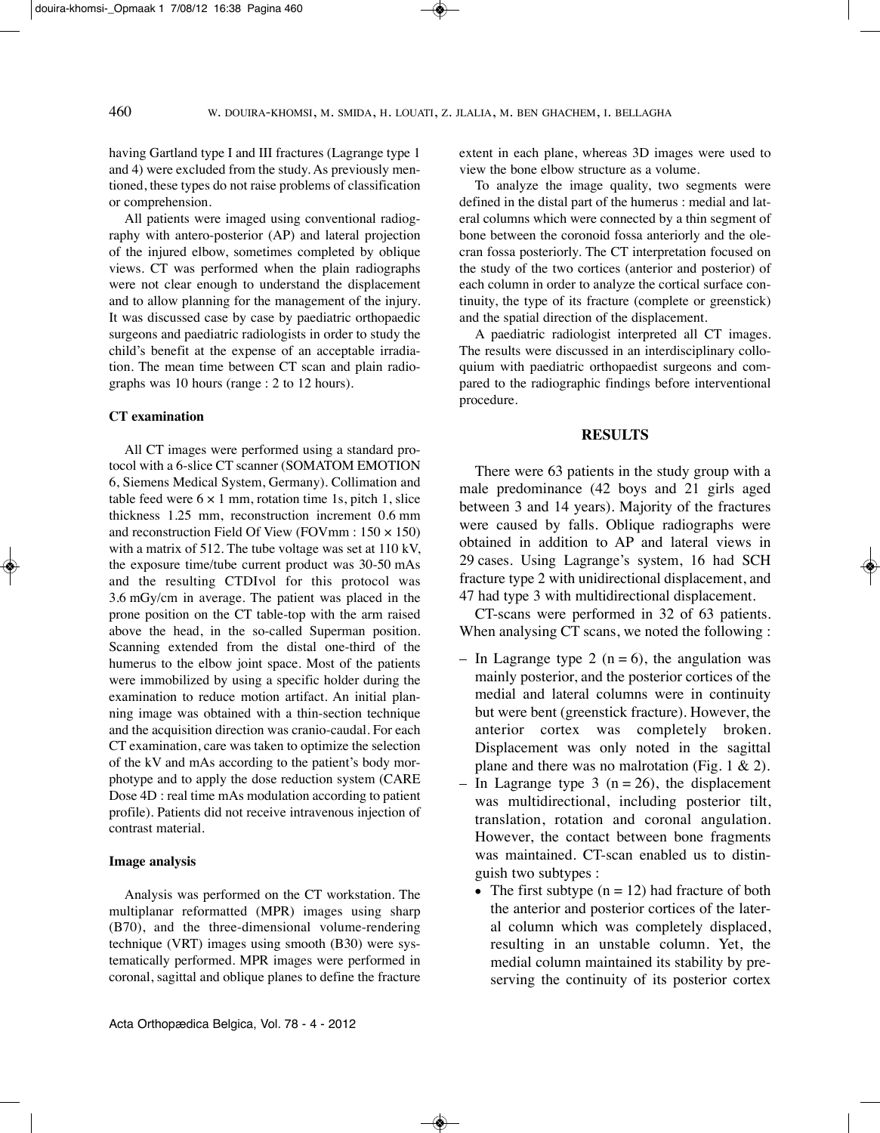having Gartland type I and III fractures (Lagrange type 1 and 4) were excluded from the study. As previously mentioned, these types do not raise problems of classification or comprehension.

All patients were imaged using conventional radiography with antero-posterior (AP) and lateral projection of the injured elbow, sometimes completed by oblique views. CT was performed when the plain radiographs were not clear enough to understand the displacement and to allow planning for the management of the injury. It was discussed case by case by paediatric orthopaedic surgeons and paediatric radiologists in order to study the child's benefit at the expense of an acceptable irradiation. The mean time between CT scan and plain radiographs was 10 hours (range : 2 to 12 hours).

## **CT examination**

All CT images were performed using a standard protocol with a 6-slice CT scanner (SOMATOM EMOTIOn 6, Siemens Medical System, Germany). Collimation and table feed were  $6 \times 1$  mm, rotation time 1s, pitch 1, slice thickness 1.25 mm, reconstruction increment 0.6 mm and reconstruction Field Of View (FOVmm : 150 × 150) with a matrix of 512. The tube voltage was set at 110 kV, the exposure time/tube current product was 30-50 mAs and the resulting CTDIvol for this protocol was 3.6 mGy/cm in average. The patient was placed in the prone position on the CT table-top with the arm raised above the head, in the so-called Superman position. Scanning extended from the distal one-third of the humerus to the elbow joint space. Most of the patients were immobilized by using a specific holder during the examination to reduce motion artifact. An initial planning image was obtained with a thin-section technique and the acquisition direction was cranio-caudal. For each CT examination, care was taken to optimize the selection of the kV and mAs according to the patient's body morphotype and to apply the dose reduction system (CARE Dose 4D : real time mAs modulation according to patient profile). Patients did not receive intravenous injection of contrast material.

## **Image analysis**

Analysis was performed on the CT workstation. The multiplanar reformatted (MPR) images using sharp (B70), and the three-dimensional volume-rendering technique (VRT) images using smooth (B30) were systematically performed. MPR images were performed in coronal, sagittal and oblique planes to define the fracture

extent in each plane, whereas 3D images were used to view the bone elbow structure as a volume.

To analyze the image quality, two segments were defined in the distal part of the humerus : medial and lateral columns which were connected by a thin segment of bone between the coronoid fossa anteriorly and the olecran fossa posteriorly. The CT interpretation focused on the study of the two cortices (anterior and posterior) of each column in order to analyze the cortical surface continuity, the type of its fracture (complete or greenstick) and the spatial direction of the displacement.

A paediatric radiologist interpreted all CT images. The results were discussed in an interdisciplinary colloquium with paediatric orthopaedist surgeons and compared to the radiographic findings before interventional procedure.

# **RESULTS**

There were 63 patients in the study group with a male predominance (42 boys and 21 girls aged between 3 and 14 years). Majority of the fractures were caused by falls. Oblique radiographs were obtained in addition to AP and lateral views in 29 cases. Using Lagrange's system, 16 had SCH fracture type 2 with unidirectional displacement, and 47 had type 3 with multidirectional displacement.

CT-scans were performed in 32 of 63 patients. When analysing CT scans, we noted the following :

- In Lagrange type 2 ( $n = 6$ ), the angulation was mainly posterior, and the posterior cortices of the medial and lateral columns were in continuity but were bent (greenstick fracture). However, the anterior cortex was completely broken. Displacement was only noted in the sagittal plane and there was no malrotation (Fig. 1  $\&$  2).
- In Lagrange type 3 ( $n = 26$ ), the displacement was multidirectional, including posterior tilt, translation, rotation and coronal angulation. However, the contact between bone fragments was maintained. CT-scan enabled us to distinguish two subtypes :
	- The first subtype  $(n = 12)$  had fracture of both the anterior and posterior cortices of the lateral column which was completely displaced, resulting in an unstable column. Yet, the medial column maintained its stability by preserving the continuity of its posterior cortex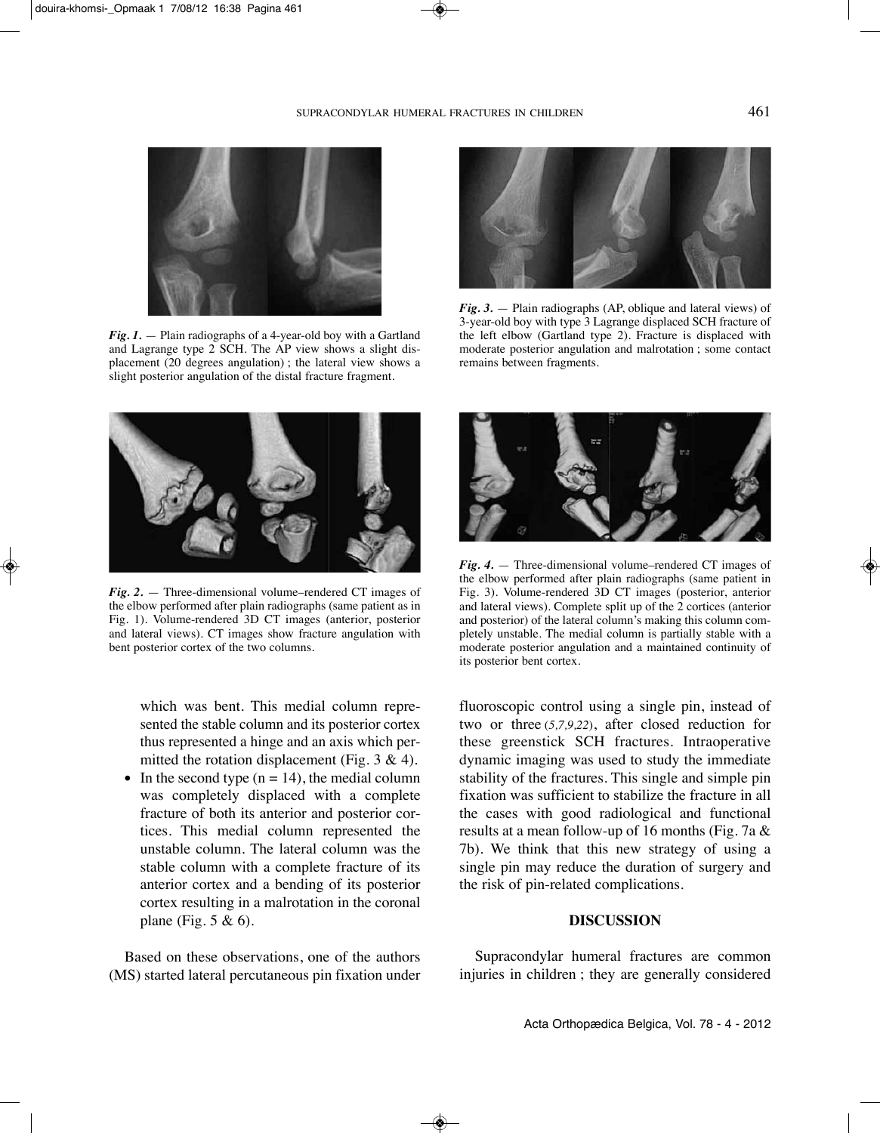

*Fig. 1.* — Plain radiographs of a 4-year-old boy with a Gartland and Lagrange type  $2\overline{SCH}$ . The AP view shows a slight displacement (20 degrees angulation) ; the lateral view shows a slight posterior angulation of the distal fracture fragment.



*Fig. 2.* — Three-dimensional volume–rendered CT images of the elbow performed after plain radiographs (same patient as in Fig. 1). Volume-rendered 3D CT images (anterior, posterior and lateral views). CT images show fracture angulation with bent posterior cortex of the two columns.

which was bent. This medial column represented the stable column and its posterior cortex thus represented a hinge and an axis which permitted the rotation displacement (Fig.  $3 \& 4$ ).

• In the second type  $(n = 14)$ , the medial column was completely displaced with a complete fracture of both its anterior and posterior cortices. This medial column represented the unstable column. The lateral column was the stable column with a complete fracture of its anterior cortex and a bending of its posterior cortex resulting in a malrotation in the coronal plane (Fig.  $5 & 6$ ).

Based on these observations, one of the authors (MS) started lateral percutaneous pin fixation under



*Fig. 3.* — Plain radiographs (AP, oblique and lateral views) of 3-year-old boy with type 3 Lagrange displaced SCH fracture of the left elbow (Gartland type 2). Fracture is displaced with moderate posterior angulation and malrotation ; some contact remains between fragments.



*Fig. 4.* — Three-dimensional volume–rendered CT images of the elbow performed after plain radiographs (same patient in Fig. 3). Volume-rendered 3D CT images (posterior, anterior and lateral views). Complete split up of the 2 cortices (anterior and posterior) of the lateral column's making this column completely unstable. The medial column is partially stable with a moderate posterior angulation and a maintained continuity of its posterior bent cortex.

fluoroscopic control using a single pin, instead of two or three (*5,7,9,22*), after closed reduction for these greenstick SCH fractures. Intraoperative dynamic imaging was used to study the immediate stability of the fractures. This single and simple pin fixation was sufficient to stabilize the fracture in all the cases with good radiological and functional results at a mean follow-up of 16 months (Fig. 7a & 7b). We think that this new strategy of using a single pin may reduce the duration of surgery and the risk of pin-related complications.

# **DISCUSSION**

Supracondylar humeral fractures are common injuries in children ; they are generally considered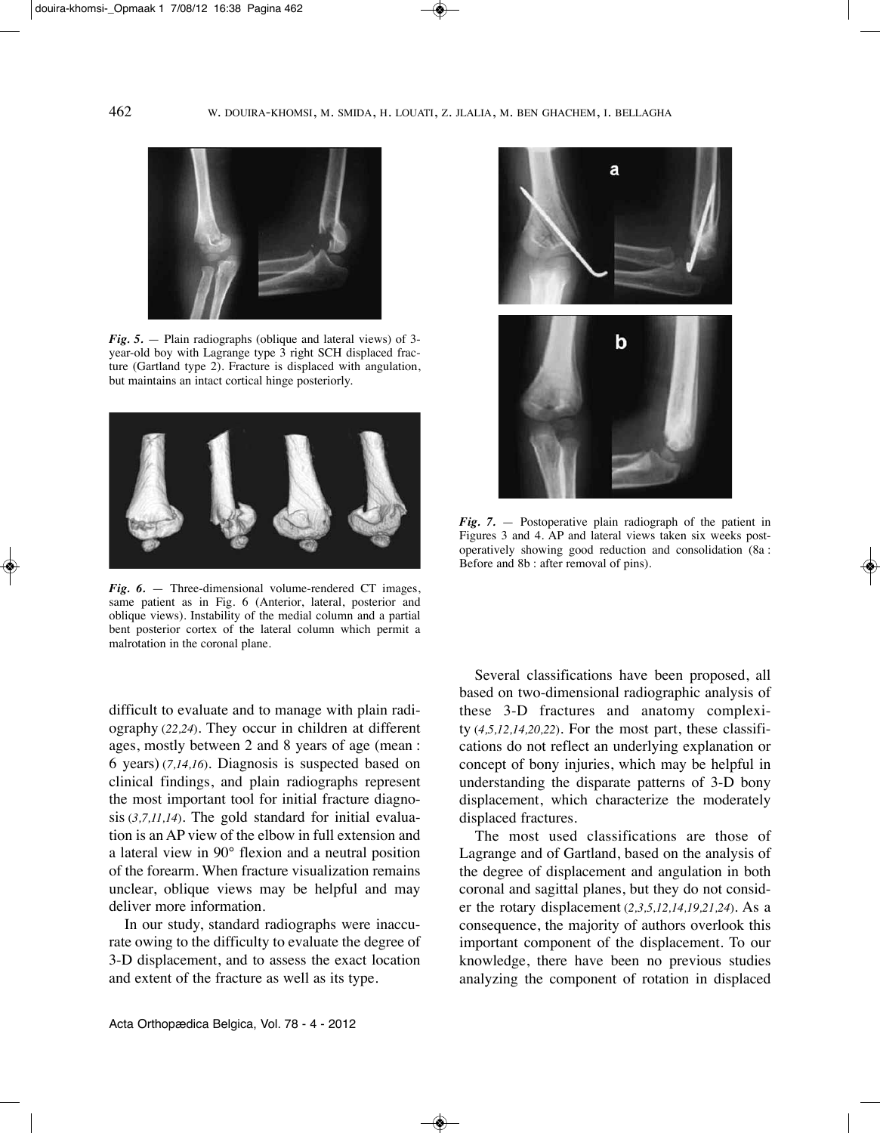

*Fig. 5.* — Plain radiographs (oblique and lateral views) of 3 year-old boy with Lagrange type 3 right SCH displaced fracture (Gartland type 2). Fracture is displaced with angulation, but maintains an intact cortical hinge posteriorly.



*Fig.* 6. — Three-dimensional volume-rendered CT images. same patient as in Fig. 6 (Anterior, lateral, posterior and oblique views). Instability of the medial column and a partial bent posterior cortex of the lateral column which permit a malrotation in the coronal plane.

difficult to evaluate and to manage with plain radiography (*22,24*). They occur in children at different ages, mostly between 2 and 8 years of age (mean : 6 years) (*7,14,16*). Diagnosis is suspected based on clinical findings, and plain radiographs represent the most important tool for initial fracture diagnosis (*3,7,11,14*). The gold standard for initial evaluation is an AP view of the elbow in full extension and a lateral view in 90° flexion and a neutral position of the forearm. When fracture visualization remains unclear, oblique views may be helpful and may deliver more information.

In our study, standard radiographs were inaccurate owing to the difficulty to evaluate the degree of 3-D displacement, and to assess the exact location and extent of the fracture as well as its type.



*Fig. 7.* — Postoperative plain radiograph of the patient in Figures 3 and 4. AP and lateral views taken six weeks postoperatively showing good reduction and consolidation (8a : Before and 8b : after removal of pins).

Several classifications have been proposed, all based on two-dimensional radiographic analysis of these 3-D fractures and anatomy complexity (*4,5,12,14,20,22*). For the most part, these classifications do not reflect an underlying explanation or concept of bony injuries, which may be helpful in understanding the disparate patterns of 3-D bony displacement, which characterize the moderately displaced fractures.

The most used classifications are those of Lagrange and of Gartland, based on the analysis of the degree of displacement and angulation in both coronal and sagittal planes, but they do not consider the rotary displacement (*2,3,5,12,14,19,21,24*). As a consequence, the majority of authors overlook this important component of the displacement. To our knowledge, there have been no previous studies analyzing the component of rotation in displaced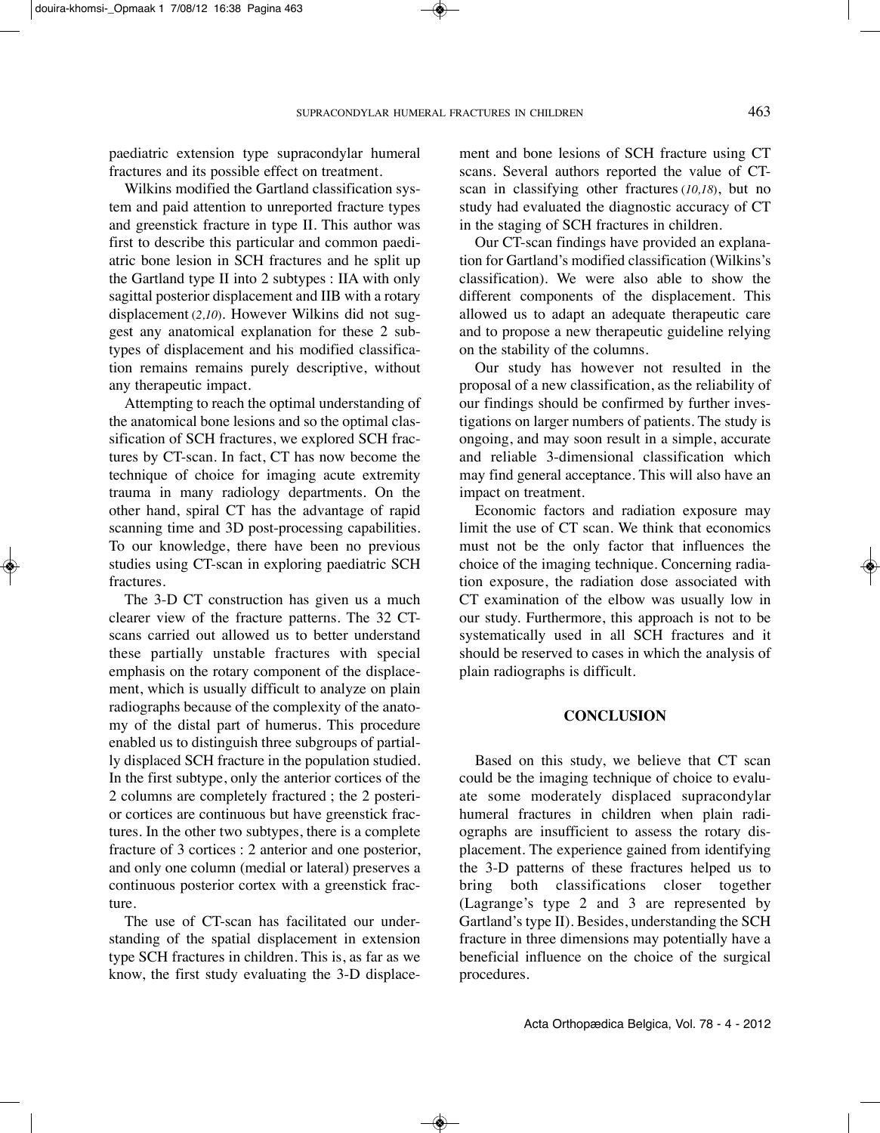paediatric extension type supracondylar humeral fractures and its possible effect on treatment.

Wilkins modified the Gartland classification system and paid attention to unreported fracture types and greenstick fracture in type II. This author was first to describe this particular and common paediatric bone lesion in SCH fractures and he split up the Gartland type II into 2 subtypes : IIA with only sagittal posterior displacement and IIB with a rotary displacement (*2,10*). However Wilkins did not suggest any anatomical explanation for these 2 subtypes of displacement and his modified classification remains remains purely descriptive, without any therapeutic impact.

Attempting to reach the optimal understanding of the anatomical bone lesions and so the optimal classification of SCH fractures, we explored SCH fractures by CT-scan. In fact, CT has now become the technique of choice for imaging acute extremity trauma in many radiology departments. On the other hand, spiral CT has the advantage of rapid scanning time and 3D post-processing capabilities. To our knowledge, there have been no previous studies using CT-scan in exploring paediatric SCH fractures.

The 3-D CT construction has given us a much clearer view of the fracture patterns. The 32 CTscans carried out allowed us to better understand these partially unstable fractures with special emphasis on the rotary component of the displacement, which is usually difficult to analyze on plain radiographs because of the complexity of the anatomy of the distal part of humerus. This procedure enabled us to distinguish three subgroups of partially displaced SCH fracture in the population studied. In the first subtype, only the anterior cortices of the 2 columns are completely fractured ; the 2 posterior cortices are continuous but have greenstick fractures. In the other two subtypes, there is a complete fracture of 3 cortices : 2 anterior and one posterior, and only one column (medial or lateral) preserves a continuous posterior cortex with a greenstick fracture.

The use of CT-scan has facilitated our understanding of the spatial displacement in extension type SCH fractures in children. This is, as far as we know, the first study evaluating the 3-D displacement and bone lesions of SCH fracture using CT scans. Several authors reported the value of CTscan in classifying other fractures (*10,18*), but no study had evaluated the diagnostic accuracy of CT in the staging of SCH fractures in children.

Our CT-scan findings have provided an explanation for Gartland's modified classification (Wilkins's classification). We were also able to show the different components of the displacement. This allowed us to adapt an adequate therapeutic care and to propose a new therapeutic guideline relying on the stability of the columns.

Our study has however not resulted in the proposal of a new classification, as the reliability of our findings should be confirmed by further investigations on larger numbers of patients. The study is ongoing, and may soon result in a simple, accurate and reliable 3-dimensional classification which may find general acceptance. This will also have an impact on treatment.

Economic factors and radiation exposure may limit the use of CT scan. We think that economics must not be the only factor that influences the choice of the imaging technique. Concerning radiation exposure, the radiation dose associated with CT examination of the elbow was usually low in our study. Furthermore, this approach is not to be systematically used in all SCH fractures and it should be reserved to cases in which the analysis of plain radiographs is difficult.

# **CONCLUSION**

Based on this study, we believe that CT scan could be the imaging technique of choice to evaluate some moderately displaced supracondylar humeral fractures in children when plain radiographs are insufficient to assess the rotary displacement. The experience gained from identifying the 3-D patterns of these fractures helped us to bring both classifications closer together (Lagrange's type 2 and 3 are represented by Gartland's type II). Besides, understanding the SCH fracture in three dimensions may potentially have a beneficial influence on the choice of the surgical procedures.